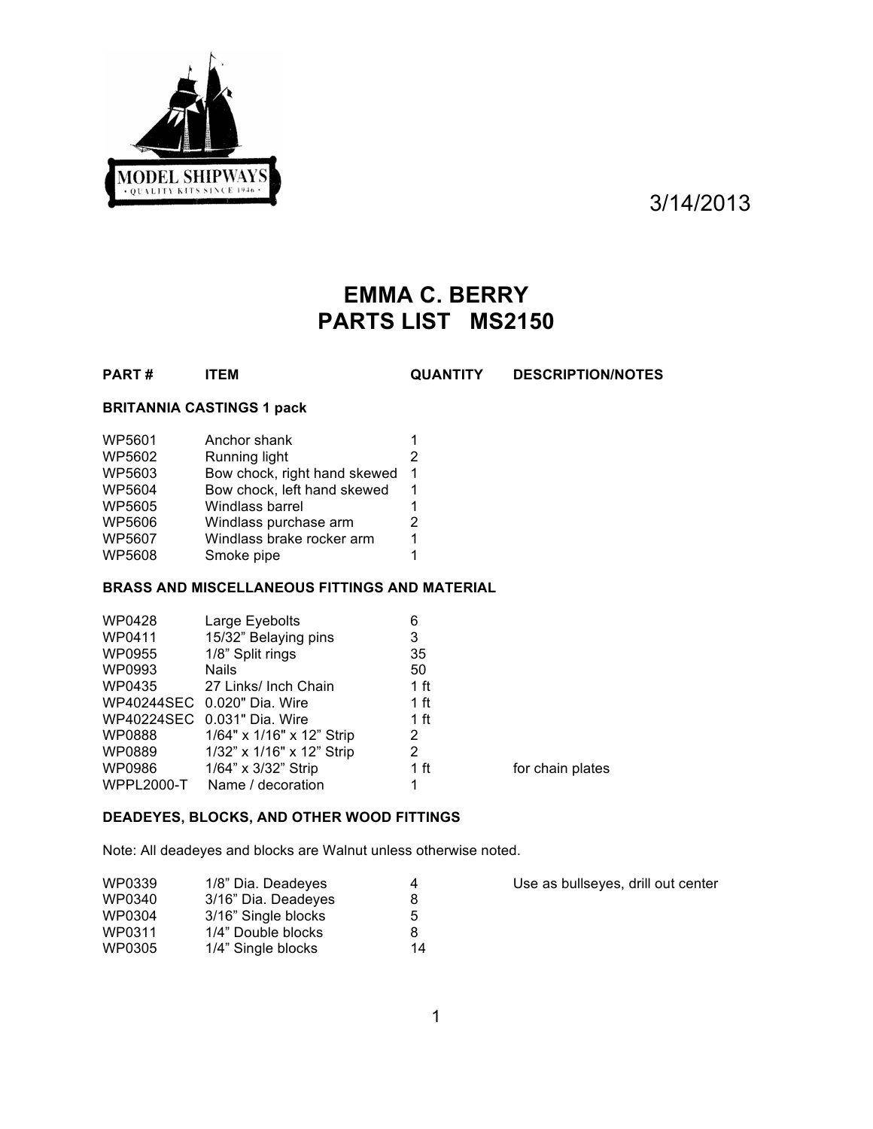

3/14/2013

# **EMMA C. BERRY PARTS LIST MS2150**

**PART # ITEM QUANTITY DESCRIPTION/NOTES**

### **BRITANNIA CASTINGS 1 pack**

| WP5601        | Anchor shank                 | 1 |
|---------------|------------------------------|---|
| WP5602        | Running light                | 2 |
| WP5603        | Bow chock, right hand skewed | 1 |
| WP5604        | Bow chock, left hand skewed  | 1 |
| <b>WP5605</b> | Windlass barrel              | 1 |
| WP5606        | Windlass purchase arm        | 2 |
| WP5607        | Windlass brake rocker arm    | 1 |
| WP5608        | Smoke pipe                   | 1 |

## **BRASS AND MISCELLANEOUS FITTINGS AND MATERIAL**

| WP0428            | Large Eyebolts              | 6               |                  |
|-------------------|-----------------------------|-----------------|------------------|
| WP0411            | 15/32" Belaying pins        | 3               |                  |
| WP0955            | 1/8" Split rings            | 35              |                  |
| WP0993            | <b>Nails</b>                | 50              |                  |
| WP0435            | 27 Links/ Inch Chain        | 1 ft            |                  |
|                   | WP40244SEC 0.020" Dia. Wire | 1 ft            |                  |
|                   | WP40224SEC 0.031" Dia. Wire | 1 <sub>ft</sub> |                  |
| WP0888            | 1/64" x 1/16" x 12" Strip   | 2               |                  |
| WP0889            | 1/32" x 1/16" x 12" Strip   | 2               |                  |
| WP0986            | 1/64" x 3/32" Strip         | 1 ft            | for chain plates |
| <b>WPPL2000-T</b> | Name / decoration           | 1               |                  |

## **DEADEYES, BLOCKS, AND OTHER WOOD FITTINGS**

Note: All deadeyes and blocks are Walnut unless otherwise noted.

| WP0339 | 1/8" Dia. Deadeyes  | 4  |
|--------|---------------------|----|
| WP0340 | 3/16" Dia. Deadeyes | 8  |
| WP0304 | 3/16" Single blocks | 5  |
| WP0311 | 1/4" Double blocks  | 8  |
| WP0305 | 1/4" Single blocks  | 14 |

Use as bullseyes, drill out center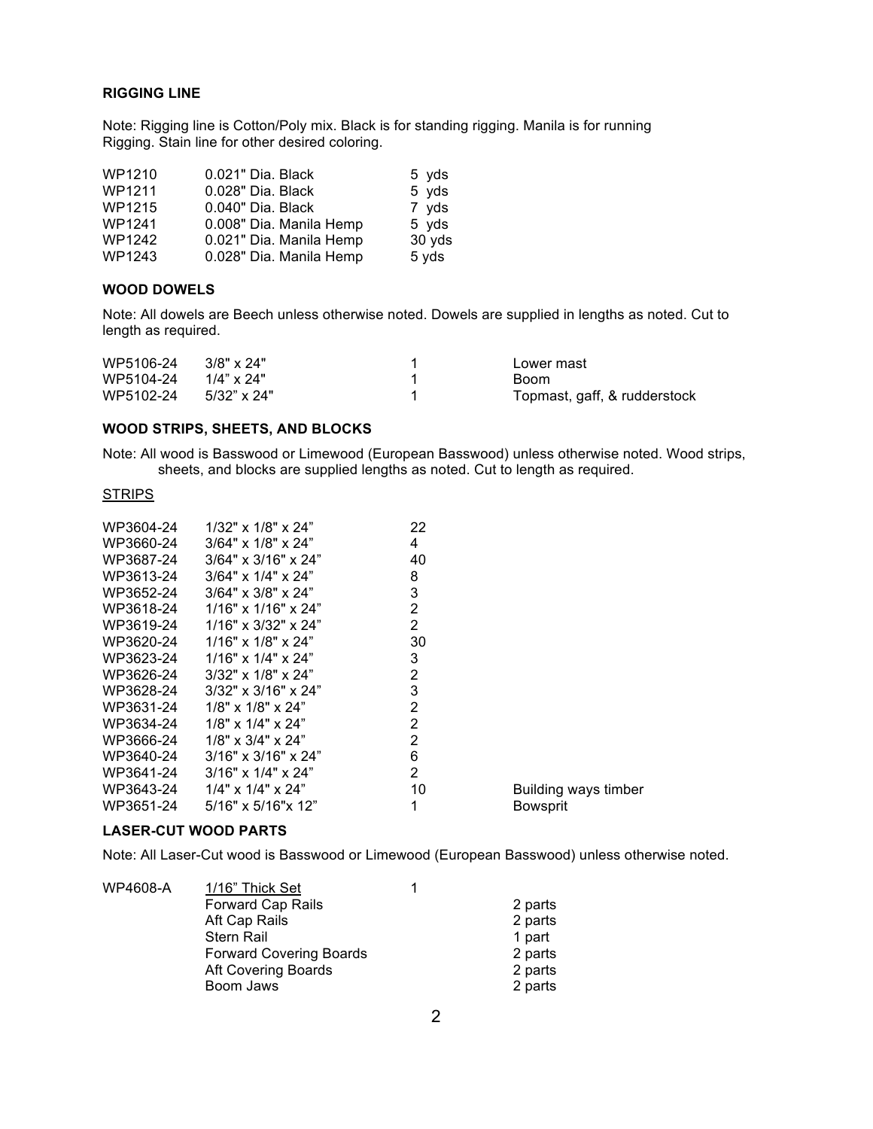#### **RIGGING LINE**

Note: Rigging line is Cotton/Poly mix. Black is for standing rigging. Manila is for running Rigging. Stain line for other desired coloring.

| WP1210        | 0.021" Dia. Black       | 5 yds  |
|---------------|-------------------------|--------|
| WP1211        | 0.028" Dia. Black       | 5 yds  |
| WP1215        | 0.040" Dia. Black       | 7 yds  |
| WP1241        | 0.008" Dia. Manila Hemp | 5 yds  |
| <b>WP1242</b> | 0.021" Dia. Manila Hemp | 30 yds |
| WP1243        | 0.028" Dia. Manila Hemp | 5 yds  |

#### **WOOD DOWELS**

Note: All dowels are Beech unless otherwise noted. Dowels are supplied in lengths as noted. Cut to length as required.

| WP5106-24                     | 3/8" x 24"  | Lower mast                   |
|-------------------------------|-------------|------------------------------|
| $WP5104-24$ $1/4" \times 24"$ |             | Boom.                        |
| WP5102-24                     | 5/32" x 24" | Topmast, gaff, & rudderstock |

#### **WOOD STRIPS, SHEETS, AND BLOCKS**

Note: All wood is Basswood or Limewood (European Basswood) unless otherwise noted. Wood strips, sheets, and blocks are supplied lengths as noted. Cut to length as required.

#### **STRIPS**

| WP3604-24 | $1/32$ " x $1/8$ " x $24$ "     | 22             |                      |
|-----------|---------------------------------|----------------|----------------------|
| WP3660-24 | $3/64$ " x $1/8$ " x $24$ "     | 4              |                      |
| WP3687-24 | $3/64" \times 3/16" \times 24"$ | 40             |                      |
| WP3613-24 | $3/64" \times 1/4" \times 24"$  | 8              |                      |
| WP3652-24 | $3/64" \times 3/8" \times 24"$  | 3              |                      |
| WP3618-24 | $1/16"$ x $1/16"$ x $24"$       | 2              |                      |
| WP3619-24 | $1/16" \times 3/32" \times 24"$ | 2              |                      |
| WP3620-24 | $1/16"$ x $1/8"$ x $24"$        | 30             |                      |
| WP3623-24 | $1/16" \times 1/4" \times 24"$  | 3              |                      |
| WP3626-24 | $3/32" \times 1/8" \times 24"$  | 2              |                      |
| WP3628-24 | $3/32" \times 3/16" \times 24"$ | 3              |                      |
| WP3631-24 | $1/8$ " x $1/8$ " x $24$ "      | $\overline{2}$ |                      |
| WP3634-24 | $1/8$ " x $1/4$ " x $24$ "      | 2              |                      |
| WP3666-24 | $1/8$ " x $3/4$ " x $24$ "      | $\overline{2}$ |                      |
| WP3640-24 | $3/16"$ x $3/16"$ x $24"$       | 6              |                      |
| WP3641-24 | $3/16"$ x $1/4"$ x $24"$        | 2              |                      |
| WP3643-24 | $1/4$ " x $1/4$ " x $24$ "      | 10             | Building ways timber |
| WP3651-24 | $5/16" \times 5/16" \times 12"$ | 1              | <b>Bowsprit</b>      |
|           |                                 |                |                      |

#### **LASER-CUT WOOD PARTS**

Note: All Laser-Cut wood is Basswood or Limewood (European Basswood) unless otherwise noted.

| WP4608-A | 1/16" Thick Set                |         |
|----------|--------------------------------|---------|
|          | <b>Forward Cap Rails</b>       | 2 parts |
|          | Aft Cap Rails                  | 2 parts |
|          | <b>Stern Rail</b>              | 1 part  |
|          | <b>Forward Covering Boards</b> | 2 parts |
|          | Aft Covering Boards            | 2 parts |
|          | Boom Jaws                      | 2 parts |